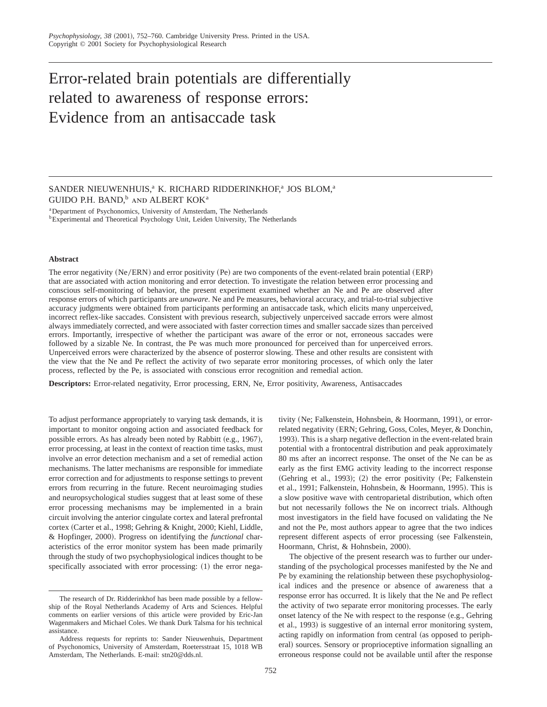# Error-related brain potentials are differentially related to awareness of response errors: Evidence from an antisaccade task

SANDER NIEUWENHUIS,<sup>a</sup> K. RICHARD RIDDERINKHOF,<sup>a</sup> JOS BLOM,<sup>a</sup> GUIDO P.H. BAND,<sup>b</sup> AND ALBERT KOK<sup>a</sup>

aDepartment of Psychonomics, University of Amsterdam, The Netherlands bExperimental and Theoretical Psychology Unit, Leiden University, The Netherlands

# **Abstract**

The error negativity  $(Ne/ERN)$  and error positivity  $(Pe)$  are two components of the event-related brain potential  $(ERP)$ that are associated with action monitoring and error detection. To investigate the relation between error processing and conscious self-monitoring of behavior, the present experiment examined whether an Ne and Pe are observed after response errors of which participants are *unaware*. Ne and Pe measures, behavioral accuracy, and trial-to-trial subjective accuracy judgments were obtained from participants performing an antisaccade task, which elicits many unperceived, incorrect reflex-like saccades. Consistent with previous research, subjectively unperceived saccade errors were almost always immediately corrected, and were associated with faster correction times and smaller saccade sizes than perceived errors. Importantly, irrespective of whether the participant was aware of the error or not, erroneous saccades were followed by a sizable Ne. In contrast, the Pe was much more pronounced for perceived than for unperceived errors. Unperceived errors were characterized by the absence of posterror slowing. These and other results are consistent with the view that the Ne and Pe reflect the activity of two separate error monitoring processes, of which only the later process, reflected by the Pe, is associated with conscious error recognition and remedial action.

**Descriptors:** Error-related negativity, Error processing, ERN, Ne, Error positivity, Awareness, Antisaccades

To adjust performance appropriately to varying task demands, it is important to monitor ongoing action and associated feedback for possible errors. As has already been noted by Rabbitt (e.g., 1967), error processing, at least in the context of reaction time tasks, must involve an error detection mechanism and a set of remedial action mechanisms. The latter mechanisms are responsible for immediate error correction and for adjustments to response settings to prevent errors from recurring in the future. Recent neuroimaging studies and neuropsychological studies suggest that at least some of these error processing mechanisms may be implemented in a brain circuit involving the anterior cingulate cortex and lateral prefrontal cortex (Carter et al., 1998; Gehring & Knight, 2000; Kiehl, Liddle, & Hopfinger, 2000!. Progress on identifying the *functional* characteristics of the error monitor system has been made primarily through the study of two psychophysiological indices thought to be specifically associated with error processing:  $(1)$  the error negativity (Ne; Falkenstein, Hohnsbein, & Hoormann, 1991), or errorrelated negativity (ERN; Gehring, Goss, Coles, Meyer, & Donchin, 1993). This is a sharp negative deflection in the event-related brain potential with a frontocentral distribution and peak approximately 80 ms after an incorrect response. The onset of the Ne can be as early as the first EMG activity leading to the incorrect response  $(Gehring et al., 1993);$   $(2)$  the error positivity  $(Pe; Falkenstein)$ et al., 1991; Falkenstein, Hohnsbein, & Hoormann, 1995). This is a slow positive wave with centroparietal distribution, which often but not necessarily follows the Ne on incorrect trials. Although most investigators in the field have focused on validating the Ne and not the Pe, most authors appear to agree that the two indices represent different aspects of error processing (see Falkenstein, Hoormann, Christ, & Hohnsbein, 2000).

The objective of the present research was to further our understanding of the psychological processes manifested by the Ne and Pe by examining the relationship between these psychophysiological indices and the presence or absence of awareness that a response error has occurred. It is likely that the Ne and Pe reflect the activity of two separate error monitoring processes. The early onset latency of the Ne with respect to the response  $(e.g., Gehring)$ et al., 1993) is suggestive of an internal error monitoring system, acting rapidly on information from central (as opposed to peripheral) sources. Sensory or proprioceptive information signalling an erroneous response could not be available until after the response

The research of Dr. Ridderinkhof has been made possible by a fellowship of the Royal Netherlands Academy of Arts and Sciences. Helpful comments on earlier versions of this article were provided by Eric-Jan Wagenmakers and Michael Coles. We thank Durk Talsma for his technical assistance.

Address requests for reprints to: Sander Nieuwenhuis, Department of Psychonomics, University of Amsterdam, Roetersstraat 15, 1018 WB Amsterdam, The Netherlands. E-mail: stn20@dds.nl.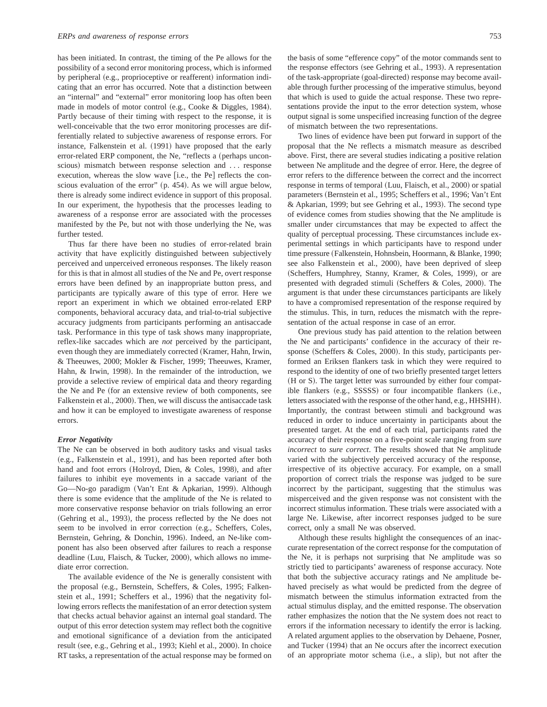has been initiated. In contrast, the timing of the Pe allows for the possibility of a second error monitoring process, which is informed by peripheral (e.g., proprioceptive or reafferent) information indicating that an error has occurred. Note that a distinction between an "internal" and "external" error monitoring loop has often been made in models of motor control (e.g., Cooke & Diggles, 1984). Partly because of their timing with respect to the response, it is well-conceivable that the two error monitoring processes are differentially related to subjective awareness of response errors. For instance, Falkenstein et al.  $(1991)$  have proposed that the early error-related ERP component, the Ne, "reflects a (perhaps unconscious) mismatch between response selection and . . . response execution, whereas the slow wave [i.e., the Pe] reflects the conscious evaluation of the error"  $(p. 454)$ . As we will argue below, there is already some indirect evidence in support of this proposal. In our experiment, the hypothesis that the processes leading to awareness of a response error are associated with the processes manifested by the Pe, but not with those underlying the Ne, was further tested.

Thus far there have been no studies of error-related brain activity that have explicitly distinguished between subjectively perceived and unperceived erroneous responses. The likely reason for this is that in almost all studies of the Ne and Pe, overt response errors have been defined by an inappropriate button press, and participants are typically aware of this type of error. Here we report an experiment in which we obtained error-related ERP components, behavioral accuracy data, and trial-to-trial subjective accuracy judgments from participants performing an antisaccade task. Performance in this type of task shows many inappropriate, reflex-like saccades which are *not* perceived by the participant, even though they are immediately corrected (Kramer, Hahn, Irwin, & Theeuwes, 2000; Mokler & Fischer, 1999; Theeuwes, Kramer, Hahn,  $& Irwin, 1998$ . In the remainder of the introduction, we provide a selective review of empirical data and theory regarding the Ne and Pe (for an extensive review of both components, see Falkenstein et al., 2000). Then, we will discuss the antisaccade task and how it can be employed to investigate awareness of response errors.

## *Error Negativity*

The Ne can be observed in both auditory tasks and visual tasks  $(e.g., Falkenstein et al., 1991)$ , and has been reported after both hand and foot errors (Holroyd, Dien, & Coles, 1998), and after failures to inhibit eye movements in a saccade variant of the Go—No-go paradigm (Van't Ent & Apkarian, 1999). Although there is some evidence that the amplitude of the Ne is related to more conservative response behavior on trials following an error (Gehring et al., 1993), the process reflected by the Ne does not seem to be involved in error correction (e.g., Scheffers, Coles, Bernstein, Gehring, & Donchin, 1996). Indeed, an Ne-like component has also been observed after failures to reach a response deadline (Luu, Flaisch, & Tucker, 2000), which allows no immediate error correction.

The available evidence of the Ne is generally consistent with the proposal (e.g., Bernstein, Scheffers,  $& Coles, 1995$ ; Falkenstein et al., 1991; Scheffers et al., 1996) that the negativity following errors reflects the manifestation of an error detection system that checks actual behavior against an internal goal standard. The output of this error detection system may reflect both the cognitive and emotional significance of a deviation from the anticipated result (see, e.g., Gehring et al., 1993; Kiehl et al., 2000). In choice RT tasks, a representation of the actual response may be formed on

the basis of some "efference copy" of the motor commands sent to the response effectors (see Gehring et al., 1993). A representation of the task-appropriate (goal-directed) response may become available through further processing of the imperative stimulus, beyond that which is used to guide the actual response. These two representations provide the input to the error detection system, whose output signal is some unspecified increasing function of the degree of mismatch between the two representations.

Two lines of evidence have been put forward in support of the proposal that the Ne reflects a mismatch measure as described above. First, there are several studies indicating a positive relation between Ne amplitude and the degree of error. Here, the degree of error refers to the difference between the correct and the incorrect response in terms of temporal (Luu, Flaisch, et al., 2000) or spatial parameters (Bernstein et al., 1995; Scheffers et al., 1996; Van't Ent & Apkarian, 1999; but see Gehring et al., 1993). The second type of evidence comes from studies showing that the Ne amplitude is smaller under circumstances that may be expected to affect the quality of perceptual processing. These circumstances include experimental settings in which participants have to respond under time pressure (Falkenstein, Hohnsbein, Hoormann, & Blanke, 1990; see also Falkenstein et al., 2000), have been deprived of sleep (Scheffers, Humphrey, Stanny, Kramer, & Coles, 1999), or are presented with degraded stimuli (Scheffers  $& Coles, 2000$ ). The argument is that under these circumstances participants are likely to have a compromised representation of the response required by the stimulus. This, in turn, reduces the mismatch with the representation of the actual response in case of an error.

One previous study has paid attention to the relation between the Ne and participants' confidence in the accuracy of their response (Scheffers & Coles, 2000). In this study, participants performed an Eriksen flankers task in which they were required to respond to the identity of one of two briefly presented target letters (H or S). The target letter was surrounded by either four compatible flankers (e.g., SSSSS) or four incompatible flankers (i.e., letters associated with the response of the other hand, e.g., HHSHH). Importantly, the contrast between stimuli and background was reduced in order to induce uncertainty in participants about the presented target. At the end of each trial, participants rated the accuracy of their response on a five-point scale ranging from *sure incorrect* to *sure correct*. The results showed that Ne amplitude varied with the subjectively perceived accuracy of the response, irrespective of its objective accuracy. For example, on a small proportion of correct trials the response was judged to be sure incorrect by the participant, suggesting that the stimulus was misperceived and the given response was not consistent with the incorrect stimulus information. These trials were associated with a large Ne. Likewise, after incorrect responses judged to be sure correct, only a small Ne was observed.

Although these results highlight the consequences of an inaccurate representation of the correct response for the computation of the Ne, it is perhaps not surprising that Ne amplitude was so strictly tied to participants' awareness of response accuracy. Note that both the subjective accuracy ratings and Ne amplitude behaved precisely as what would be predicted from the degree of mismatch between the stimulus information extracted from the actual stimulus display, and the emitted response. The observation rather emphasizes the notion that the Ne system does not react to errors if the information necessary to identify the error is lacking. A related argument applies to the observation by Dehaene, Posner, and Tucker (1994) that an Ne occurs after the incorrect execution of an appropriate motor schema (i.e., a slip), but not after the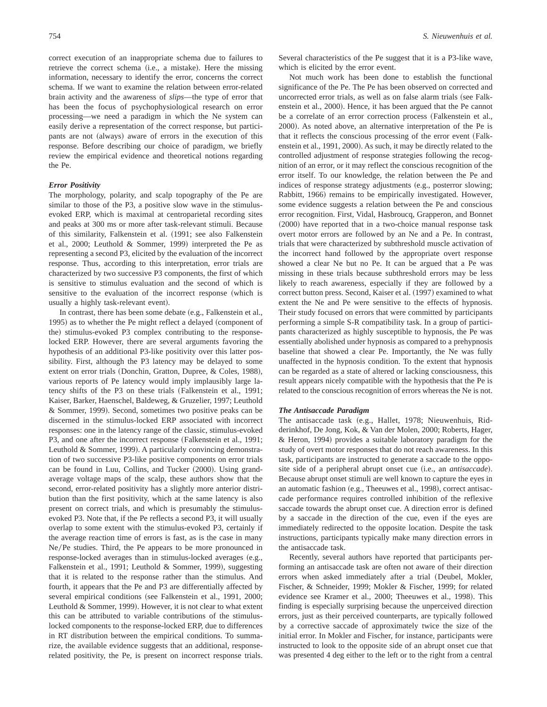correct execution of an inappropriate schema due to failures to retrieve the correct schema (i.e., a mistake). Here the missing information, necessary to identify the error, concerns the correct schema. If we want to examine the relation between error-related brain activity and the awareness of *slips*—the type of error that has been the focus of psychophysiological research on error processing—we need a paradigm in which the Ne system can easily derive a representation of the correct response, but participants are not (always) aware of errors in the execution of this response. Before describing our choice of paradigm, we briefly review the empirical evidence and theoretical notions regarding the Pe.

# *Error Positivity*

The morphology, polarity, and scalp topography of the Pe are similar to those of the P3, a positive slow wave in the stimulusevoked ERP, which is maximal at centroparietal recording sites and peaks at 300 ms or more after task-relevant stimuli. Because of this similarity, Falkenstein et al. (1991; see also Falkenstein et al., 2000; Leuthold & Sommer, 1999) interpreted the Pe as representing a second P3, elicited by the evaluation of the incorrect response. Thus, according to this interpretation, error trials are characterized by two successive P3 components, the first of which is sensitive to stimulus evaluation and the second of which is sensitive to the evaluation of the incorrect response (which is usually a highly task-relevant event).

In contrast, there has been some debate (e.g., Falkenstein et al., 1995) as to whether the Pe might reflect a delayed (component of the) stimulus-evoked P3 complex contributing to the responselocked ERP. However, there are several arguments favoring the hypothesis of an additional P3-like positivity over this latter possibility. First, although the P3 latency may be delayed to some extent on error trials (Donchin, Gratton, Dupree, & Coles, 1988), various reports of Pe latency would imply implausibly large latency shifts of the P3 on these trials (Falkenstein et al., 1991; Kaiser, Barker, Haenschel, Baldeweg, & Gruzelier, 1997; Leuthold & Sommer, 1999). Second, sometimes two positive peaks can be discerned in the stimulus-locked ERP associated with incorrect responses: one in the latency range of the classic, stimulus-evoked P3, and one after the incorrect response (Falkenstein et al., 1991; Leuthold & Sommer, 1999). A particularly convincing demonstration of two successive P3-like positive components on error trials can be found in Luu, Collins, and Tucker (2000). Using grandaverage voltage maps of the scalp, these authors show that the second, error-related positivity has a slightly more anterior distribution than the first positivity, which at the same latency is also present on correct trials, and which is presumably the stimulusevoked P3. Note that, if the Pe reflects a second P3, it will usually overlap to some extent with the stimulus-evoked P3, certainly if the average reaction time of errors is fast, as is the case in many Ne/Pe studies. Third, the Pe appears to be more pronounced in response-locked averages than in stimulus-locked averages (e.g., Falkenstein et al., 1991; Leuthold & Sommer, 1999), suggesting that it is related to the response rather than the stimulus. And fourth, it appears that the Pe and P3 are differentially affected by several empirical conditions (see Falkenstein et al., 1991, 2000; Leuthold  $&$  Sommer, 1999). However, it is not clear to what extent this can be attributed to variable contributions of the stimuluslocked components to the response-locked ERP, due to differences in RT distribution between the empirical conditions. To summarize, the available evidence suggests that an additional, responserelated positivity, the Pe, is present on incorrect response trials.

Several characteristics of the Pe suggest that it is a P3-like wave, which is elicited by the error event.

Not much work has been done to establish the functional significance of the Pe. The Pe has been observed on corrected and uncorrected error trials, as well as on false alarm trials (see Falkenstein et al., 2000). Hence, it has been argued that the Pe cannot be a correlate of an error correction process (Falkenstein et al., 2000). As noted above, an alternative interpretation of the Pe is that it reflects the conscious processing of the error event (Falkenstein et al., 1991, 2000). As such, it may be directly related to the controlled adjustment of response strategies following the recognition of an error, or it may reflect the conscious recognition of the error itself. To our knowledge, the relation between the Pe and indices of response strategy adjustments (e.g., posterror slowing; Rabbitt, 1966) remains to be empirically investigated. However, some evidence suggests a relation between the Pe and conscious error recognition. First, Vidal, Hasbroucq, Grapperon, and Bonnet (2000) have reported that in a two-choice manual response task overt motor errors are followed by an Ne and a Pe. In contrast, trials that were characterized by subthreshold muscle activation of the incorrect hand followed by the appropriate overt response showed a clear Ne but no Pe. It can be argued that a Pe was missing in these trials because subthreshold errors may be less likely to reach awareness, especially if they are followed by a correct button press. Second, Kaiser et al. (1997) examined to what extent the Ne and Pe were sensitive to the effects of hypnosis. Their study focused on errors that were committed by participants performing a simple S-R compatibility task. In a group of participants characterized as highly susceptible to hypnosis, the Pe was essentially abolished under hypnosis as compared to a prehypnosis baseline that showed a clear Pe. Importantly, the Ne was fully unaffected in the hypnosis condition. To the extent that hypnosis can be regarded as a state of altered or lacking consciousness, this result appears nicely compatible with the hypothesis that the Pe is related to the conscious recognition of errors whereas the Ne is not.

#### *The Antisaccade Paradigm*

The antisaccade task (e.g., Hallet, 1978; Nieuwenhuis, Ridderinkhof, De Jong, Kok, & Van der Molen, 2000; Roberts, Hager, & Heron, 1994) provides a suitable laboratory paradigm for the study of overt motor responses that do not reach awareness. In this task, participants are instructed to generate a saccade to the opposite side of a peripheral abrupt onset cue (i.e., an *antisaccade*). Because abrupt onset stimuli are well known to capture the eyes in an automatic fashion (e.g., Theeuwes et al., 1998), correct antisaccade performance requires controlled inhibition of the reflexive saccade towards the abrupt onset cue. A direction error is defined by a saccade in the direction of the cue, even if the eyes are immediately redirected to the opposite location. Despite the task instructions, participants typically make many direction errors in the antisaccade task.

Recently, several authors have reported that participants performing an antisaccade task are often not aware of their direction errors when asked immediately after a trial (Deubel, Mokler, Fischer, & Schneider, 1999; Mokler & Fischer, 1999; for related evidence see Kramer et al., 2000; Theeuwes et al., 1998). This finding is especially surprising because the unperceived direction errors, just as their perceived counterparts, are typically followed by a corrective saccade of approximately twice the size of the initial error. In Mokler and Fischer, for instance, participants were instructed to look to the opposite side of an abrupt onset cue that was presented 4 deg either to the left or to the right from a central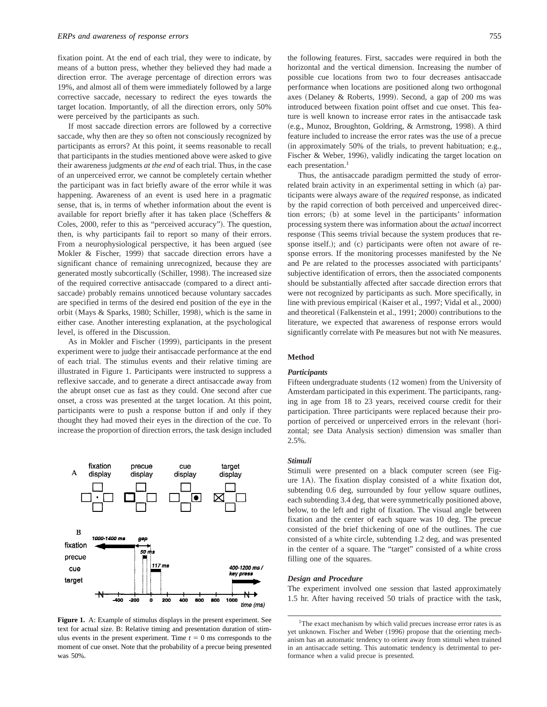fixation point. At the end of each trial, they were to indicate, by means of a button press, whether they believed they had made a direction error. The average percentage of direction errors was 19%, and almost all of them were immediately followed by a large corrective saccade, necessary to redirect the eyes towards the target location. Importantly, of all the direction errors, only 50% were perceived by the participants as such.

If most saccade direction errors are followed by a corrective saccade, why then are they so often not consciously recognized by participants as errors? At this point, it seems reasonable to recall that participants in the studies mentioned above were asked to give their awareness judgments *at the end* of each trial. Thus, in the case of an unperceived error, we cannot be completely certain whether the participant was in fact briefly aware of the error while it was happening. Awareness of an event is used here in a pragmatic sense, that is, in terms of whether information about the event is available for report briefly after it has taken place (Scheffers  $\&$ Coles, 2000, refer to this as "perceived accuracy"). The question, then, is why participants fail to report so many of their errors. From a neurophysiological perspective, it has been argued (see Mokler & Fischer, 1999) that saccade direction errors have a significant chance of remaining unrecognized, because they are generated mostly subcortically (Schiller, 1998). The increased size of the required corrective antisaccade (compared to a direct antisaccade) probably remains unnoticed because voluntary saccades are specified in terms of the desired end position of the eye in the orbit (Mays & Sparks, 1980; Schiller, 1998), which is the same in either case. Another interesting explanation, at the psychological level, is offered in the Discussion.

As in Mokler and Fischer (1999), participants in the present experiment were to judge their antisaccade performance at the end of each trial. The stimulus events and their relative timing are illustrated in Figure 1. Participants were instructed to suppress a reflexive saccade, and to generate a direct antisaccade away from the abrupt onset cue as fast as they could. One second after cue onset, a cross was presented at the target location. At this point, participants were to push a response button if and only if they thought they had moved their eyes in the direction of the cue. To increase the proportion of direction errors, the task design included



**Figure 1.** A: Example of stimulus displays in the present experiment. See text for actual size. B: Relative timing and presentation duration of stimulus events in the present experiment. Time  $t = 0$  ms corresponds to the moment of cue onset. Note that the probability of a precue being presented was 50%.

the following features. First, saccades were required in both the horizontal and the vertical dimension. Increasing the number of possible cue locations from two to four decreases antisaccade performance when locations are positioned along two orthogonal axes (Delaney & Roberts, 1999). Second, a gap of 200 ms was introduced between fixation point offset and cue onset. This feature is well known to increase error rates in the antisaccade task (e.g., Munoz, Broughton, Goldring, & Armstrong, 1998). A third feature included to increase the error rates was the use of a precue  $(in approximately 50\% of the trials, to prevent habituation; e.g.,)$ Fischer & Weber, 1996), validly indicating the target location on each presentation.<sup>1</sup>

Thus, the antisaccade paradigm permitted the study of errorrelated brain activity in an experimental setting in which  $(a)$  participants were always aware of the *required* response, as indicated by the rapid correction of both perceived and unperceived direction errors; (b) at some level in the participants' information processing system there was information about the *actual* incorrect response (This seems trivial because the system produces that response itself.); and (c) participants were often not aware of response errors. If the monitoring processes manifested by the Ne and Pe are related to the processes associated with participants' subjective identification of errors, then the associated components should be substantially affected after saccade direction errors that were not recognized by participants as such. More specifically, in line with previous empirical (Kaiser et al., 1997; Vidal et al., 2000) and theoretical (Falkenstein et al., 1991; 2000) contributions to the literature, we expected that awareness of response errors would significantly correlate with Pe measures but not with Ne measures.

#### **Method**

## *Participants*

Fifteen undergraduate students (12 women) from the University of Amsterdam participated in this experiment. The participants, ranging in age from 18 to 23 years, received course credit for their participation. Three participants were replaced because their proportion of perceived or unperceived errors in the relevant (horizontal; see Data Analysis section) dimension was smaller than 2.5%.

# *Stimuli*

Stimuli were presented on a black computer screen (see Figure 1A). The fixation display consisted of a white fixation dot, subtending 0.6 deg, surrounded by four yellow square outlines, each subtending 3.4 deg, that were symmetrically positioned above, below, to the left and right of fixation. The visual angle between fixation and the center of each square was 10 deg. The precue consisted of the brief thickening of one of the outlines. The cue consisted of a white circle, subtending 1.2 deg, and was presented in the center of a square. The "target" consisted of a white cross filling one of the squares.

## *Design and Procedure*

The experiment involved one session that lasted approximately 1.5 hr. After having received 50 trials of practice with the task,

<sup>&</sup>lt;sup>1</sup>The exact mechanism by which valid precues increase error rates is as yet unknown. Fischer and Weber (1996) propose that the orienting mechanism has an automatic tendency to orient away from stimuli when trained in an antisaccade setting. This automatic tendency is detrimental to performance when a valid precue is presented.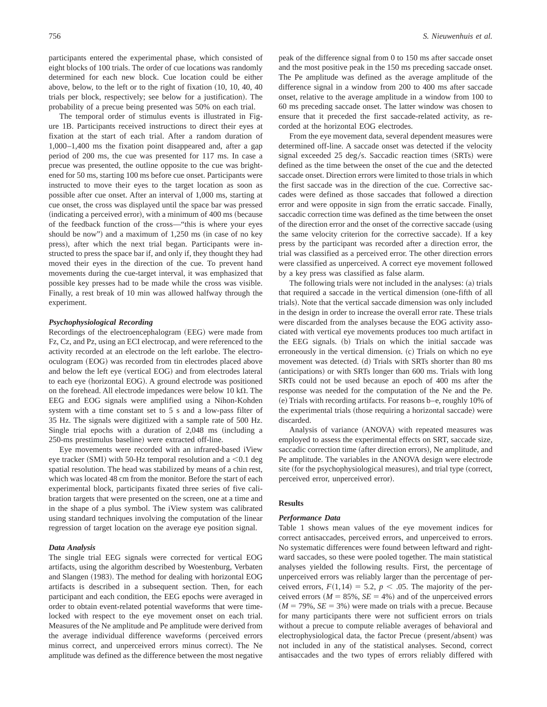participants entered the experimental phase, which consisted of eight blocks of 100 trials. The order of cue locations was randomly determined for each new block. Cue location could be either above, below, to the left or to the right of fixation  $(10, 10, 40, 40)$ trials per block, respectively; see below for a justification). The probability of a precue being presented was 50% on each trial.

The temporal order of stimulus events is illustrated in Figure 1B. Participants received instructions to direct their eyes at fixation at the start of each trial. After a random duration of 1,000–1,400 ms the fixation point disappeared and, after a gap period of 200 ms, the cue was presented for 117 ms. In case a precue was presented, the outline opposite to the cue was brightened for 50 ms, starting 100 ms before cue onset. Participants were instructed to move their eyes to the target location as soon as possible after cue onset. After an interval of 1,000 ms, starting at cue onset, the cross was displayed until the space bar was pressed (indicating a perceived error), with a minimum of 400 ms (because of the feedback function of the cross—"this is where your eyes should be now") and a maximum of  $1,250$  ms (in case of no key press), after which the next trial began. Participants were instructed to press the space bar if, and only if, they thought they had moved their eyes in the direction of the cue. To prevent hand movements during the cue-target interval, it was emphasized that possible key presses had to be made while the cross was visible. Finally, a rest break of 10 min was allowed halfway through the experiment.

# *Psychophysiological Recording*

Recordings of the electroencephalogram (EEG) were made from Fz, Cz, and Pz, using an ECI electrocap, and were referenced to the activity recorded at an electrode on the left earlobe. The electrooculogram (EOG) was recorded from tin electrodes placed above and below the left eye (vertical EOG) and from electrodes lateral to each eye (horizontal EOG). A ground electrode was positioned on the forehead. All electrode impedances were below 10 k $\Omega$ . The EEG and EOG signals were amplified using a Nihon-Kohden system with a time constant set to 5 s and a low-pass filter of 35 Hz. The signals were digitized with a sample rate of 500 Hz. Single trial epochs with a duration of  $2,048$  ms (including a 250-ms prestimulus baseline) were extracted off-line.

Eye movements were recorded with an infrared-based iView eye tracker (SMI) with 50-Hz temporal resolution and a  $< 0.1$  deg spatial resolution. The head was stabilized by means of a chin rest, which was located 48 cm from the monitor. Before the start of each experimental block, participants fixated three series of five calibration targets that were presented on the screen, one at a time and in the shape of a plus symbol. The iView system was calibrated using standard techniques involving the computation of the linear regression of target location on the average eye position signal.

#### *Data Analysis*

The single trial EEG signals were corrected for vertical EOG artifacts, using the algorithm described by Woestenburg, Verbaten and Slangen (1983). The method for dealing with horizontal EOG artifacts is described in a subsequent section. Then, for each participant and each condition, the EEG epochs were averaged in order to obtain event-related potential waveforms that were timelocked with respect to the eye movement onset on each trial. Measures of the Ne amplitude and Pe amplitude were derived from the average individual difference waveforms (perceived errors minus correct, and unperceived errors minus correct). The Ne amplitude was defined as the difference between the most negative

peak of the difference signal from 0 to 150 ms after saccade onset and the most positive peak in the 150 ms preceding saccade onset. The Pe amplitude was defined as the average amplitude of the difference signal in a window from 200 to 400 ms after saccade onset, relative to the average amplitude in a window from 100 to 60 ms preceding saccade onset. The latter window was chosen to ensure that it preceded the first saccade-related activity, as recorded at the horizontal EOG electrodes.

From the eye movement data, several dependent measures were determined off-line. A saccade onset was detected if the velocity signal exceeded  $25 \text{ deg/s}$ . Saccadic reaction times  $(SRTs)$  were defined as the time between the onset of the cue and the detected saccade onset. Direction errors were limited to those trials in which the first saccade was in the direction of the cue. Corrective saccades were defined as those saccades that followed a direction error and were opposite in sign from the erratic saccade. Finally, saccadic correction time was defined as the time between the onset of the direction error and the onset of the corrective saccade (using the same velocity criterion for the corrective saccade). If a key press by the participant was recorded after a direction error, the trial was classified as a perceived error. The other direction errors were classified as unperceived. A correct eye movement followed by a key press was classified as false alarm.

The following trials were not included in the analyses:  $(a)$  trials that required a saccade in the vertical dimension (one-fifth of all trials). Note that the vertical saccade dimension was only included in the design in order to increase the overall error rate. These trials were discarded from the analyses because the EOG activity associated with vertical eye movements produces too much artifact in the EEG signals. (b) Trials on which the initial saccade was erroneously in the vertical dimension.  $(c)$  Trials on which no eye movement was detected. (d) Trials with SRTs shorter than 80 ms (anticipations) or with SRTs longer than 600 ms. Trials with long SRTs could not be used because an epoch of 400 ms after the response was needed for the computation of the Ne and the Pe.  $(e)$  Trials with recording artifacts. For reasons b–e, roughly 10% of the experimental trials (those requiring a horizontal saccade) were discarded.

Analysis of variance (ANOVA) with repeated measures was employed to assess the experimental effects on SRT, saccade size, saccadic correction time (after direction errors), Ne amplitude, and Pe amplitude. The variables in the ANOVA design were electrode site (for the psychophysiological measures), and trial type (correct, perceived error, unperceived error).

## **Results**

# *Performance Data*

Table 1 shows mean values of the eye movement indices for correct antisaccades, perceived errors, and unperceived to errors. No systematic differences were found between leftward and rightward saccades, so these were pooled together. The main statistical analyses yielded the following results. First, the percentage of unperceived errors was reliably larger than the percentage of perceived errors,  $F(1,14) = 5.2$ ,  $p < .05$ . The majority of the perceived errors  $(M = 85\%, SE = 4\%)$  and of the unperceived errors  $(M = 79\%, SE = 3\%)$  were made on trials with a precue. Because for many participants there were not sufficient errors on trials without a precue to compute reliable averages of behavioral and electrophysiological data, the factor Precue (present/absent) was not included in any of the statistical analyses. Second, correct antisaccades and the two types of errors reliably differed with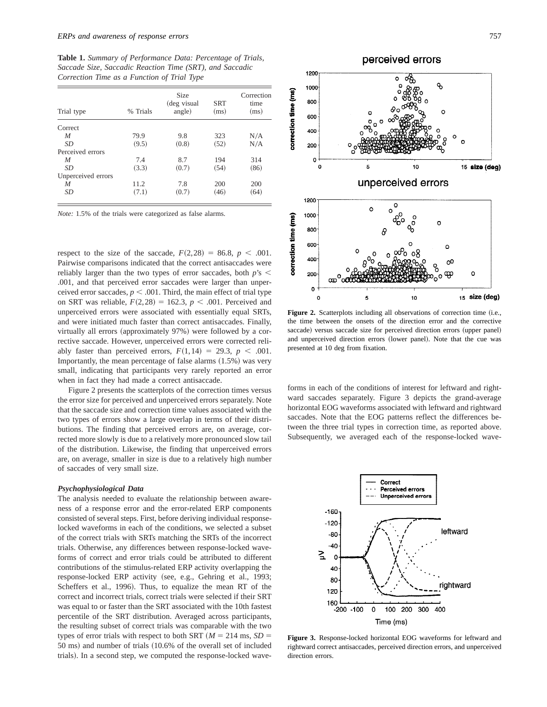**Table 1.** *Summary of Performance Data: Percentage of Trials, Saccade Size, Saccadic Reaction Time (SRT), and Saccadic Correction Time as a Function of Trial Type*

| Trial type         | % Trials | <b>Size</b><br>(deg visual)<br>angle) | <b>SRT</b><br>(ms) | Correction<br>time<br>(ms) |
|--------------------|----------|---------------------------------------|--------------------|----------------------------|
| Correct            |          |                                       |                    |                            |
| M                  | 79.9     | 9.8                                   | 323                | N/A                        |
| SD                 | (9.5)    | (0.8)                                 | (52)               | N/A                        |
| Perceived errors   |          |                                       |                    |                            |
| M                  | 7.4      | 8.7                                   | 194                | 314                        |
| SD                 | (3.3)    | (0.7)                                 | (54)               | (86)                       |
| Unperceived errors |          |                                       |                    |                            |
| M                  | 11.2     | 7.8                                   | 200                | 200                        |
| SD                 | (7.1)    | (0.7)                                 | (46)               | (64)                       |

*Note:* 1.5% of the trials were categorized as false alarms.

respect to the size of the saccade,  $F(2,28) = 86.8, p < .001$ . Pairwise comparisons indicated that the correct antisaccades were reliably larger than the two types of error saccades, both  $p$ 's < .001, and that perceived error saccades were larger than unperceived error saccades,  $p < .001$ . Third, the main effect of trial type on SRT was reliable,  $F(2,28) = 162.3$ ,  $p < .001$ . Perceived and unperceived errors were associated with essentially equal SRTs, and were initiated much faster than correct antisaccades. Finally, virtually all errors (approximately 97%) were followed by a corrective saccade. However, unperceived errors were corrected reliably faster than perceived errors,  $F(1,14) = 29.3$ ,  $p < .001$ . Importantly, the mean percentage of false alarms  $(1.5\%)$  was very small, indicating that participants very rarely reported an error when in fact they had made a correct antisaccade.

Figure 2 presents the scatterplots of the correction times versus the error size for perceived and unperceived errors separately. Note that the saccade size and correction time values associated with the two types of errors show a large overlap in terms of their distributions. The finding that perceived errors are, on average, corrected more slowly is due to a relatively more pronounced slow tail of the distribution. Likewise, the finding that unperceived errors are, on average, smaller in size is due to a relatively high number of saccades of very small size.

#### *Psychophysiological Data*

The analysis needed to evaluate the relationship between awareness of a response error and the error-related ERP components consisted of several steps. First, before deriving individual responselocked waveforms in each of the conditions, we selected a subset of the correct trials with SRTs matching the SRTs of the incorrect trials. Otherwise, any differences between response-locked waveforms of correct and error trials could be attributed to different contributions of the stimulus-related ERP activity overlapping the response-locked ERP activity (see, e.g., Gehring et al., 1993; Scheffers et al., 1996). Thus, to equalize the mean RT of the correct and incorrect trials, correct trials were selected if their SRT was equal to or faster than the SRT associated with the 10th fastest percentile of the SRT distribution. Averaged across participants, the resulting subset of correct trials was comparable with the two types of error trials with respect to both SRT ( $M = 214$  ms,  $SD =$  $50 \text{ ms}$ ) and number of trials  $(10.6\% \text{ of the overall set of included})$ trials). In a second step, we computed the response-locked wave-



Figure 2. Scatterplots including all observations of correction time (i.e., the time between the onsets of the direction error and the corrective saccade) versus saccade size for perceived direction errors (upper panel) and unperceived direction errors (lower panel). Note that the cue was presented at 10 deg from fixation.

forms in each of the conditions of interest for leftward and rightward saccades separately. Figure 3 depicts the grand-average horizontal EOG waveforms associated with leftward and rightward saccades. Note that the EOG patterns reflect the differences between the three trial types in correction time, as reported above. Subsequently, we averaged each of the response-locked wave-



**Figure 3.** Response-locked horizontal EOG waveforms for leftward and rightward correct antisaccades, perceived direction errors, and unperceived direction errors.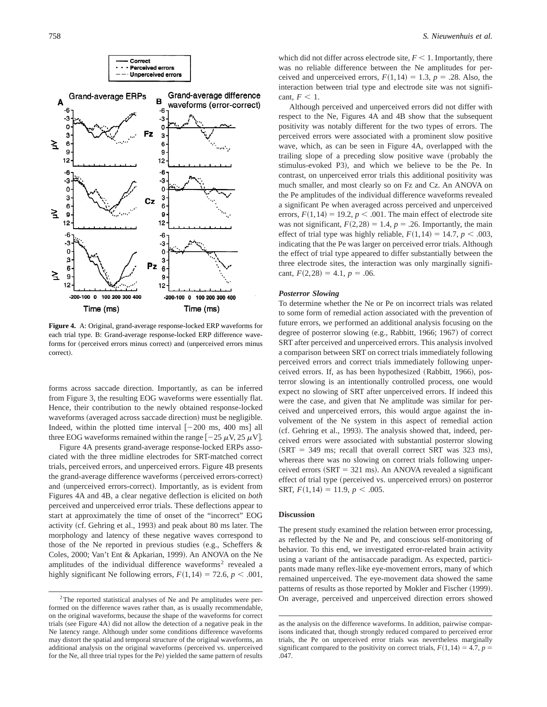

**Figure 4.** A: Original, grand-average response-locked ERP waveforms for each trial type. B: Grand-average response-locked ERP difference waveforms for (perceived errors minus correct) and (unperceived errors minus correct).

forms across saccade direction. Importantly, as can be inferred from Figure 3, the resulting EOG waveforms were essentially flat. Hence, their contribution to the newly obtained response-locked waveforms (averaged across saccade direction) must be negligible. Indeed, within the plotted time interval  $[-200 \text{ ms}, 400 \text{ ms}]$  all three EOG waveforms remained within the range  $[-25 \mu V, 25 \mu V]$ .

Figure 4A presents grand-average response-locked ERPs associated with the three midline electrodes for SRT-matched correct trials, perceived errors, and unperceived errors. Figure 4B presents the grand-average difference waveforms (perceived errors-correct) and (unperceived errors-correct). Importantly, as is evident from Figures 4A and 4B, a clear negative deflection is elicited on *both* perceived and unperceived error trials. These deflections appear to start at approximately the time of onset of the "incorrect" EOG activity (cf. Gehring et al., 1993) and peak about 80 ms later. The morphology and latency of these negative waves correspond to those of the Ne reported in previous studies (e.g., Scheffers  $\&$ Coles, 2000; Van't Ent & Apkarian, 1999). An ANOVA on the Ne amplitudes of the individual difference waveforms<sup>2</sup> revealed a highly significant Ne following errors,  $F(1,14) = 72.6$ ,  $p < .001$ ,

which did not differ across electrode site,  $F \leq 1$ . Importantly, there was no reliable difference between the Ne amplitudes for perceived and unperceived errors,  $F(1,14) = 1.3$ ,  $p = .28$ . Also, the interaction between trial type and electrode site was not significant,  $F < 1$ .

Although perceived and unperceived errors did not differ with respect to the Ne, Figures 4A and 4B show that the subsequent positivity was notably different for the two types of errors. The perceived errors were associated with a prominent slow positive wave, which, as can be seen in Figure 4A, overlapped with the trailing slope of a preceding slow positive wave (probably the stimulus-evoked P3), and which we believe to be the Pe. In contrast, on unperceived error trials this additional positivity was much smaller, and most clearly so on Fz and Cz. An ANOVA on the Pe amplitudes of the individual difference waveforms revealed a significant Pe when averaged across perceived and unperceived errors,  $F(1,14) = 19.2$ ,  $p < .001$ . The main effect of electrode site was not significant,  $F(2,28) = 1.4$ ,  $p = .26$ . Importantly, the main effect of trial type was highly reliable,  $F(1,14) = 14.7$ ,  $p < .003$ , indicating that the Pe was larger on perceived error trials. Although the effect of trial type appeared to differ substantially between the three electrode sites, the interaction was only marginally significant,  $F(2,28) = 4.1, p = .06$ .

# *Posterror Slowing*

To determine whether the Ne or Pe on incorrect trials was related to some form of remedial action associated with the prevention of future errors, we performed an additional analysis focusing on the degree of posterror slowing (e.g., Rabbitt, 1966; 1967) of correct SRT after perceived and unperceived errors. This analysis involved a comparison between SRT on correct trials immediately following perceived errors and correct trials immediately following unperceived errors. If, as has been hypothesized (Rabbitt, 1966), posterror slowing is an intentionally controlled process, one would expect no slowing of SRT after unperceived errors. If indeed this were the case, and given that Ne amplitude was similar for perceived and unperceived errors, this would argue against the involvement of the Ne system in this aspect of remedial action (cf. Gehring et al., 1993). The analysis showed that, indeed, perceived errors were associated with substantial posterror slowing  $(SRT = 349 \text{ ms}; \text{recall that overall correct SRT was } 323 \text{ ms}$ ), whereas there was no slowing on correct trials following unperceived errors  $(SRT = 321 \text{ ms})$ . An ANOVA revealed a significant effect of trial type (perceived vs. unperceived errors) on posterror SRT,  $F(1,14) = 11.9, p < .005$ .

# **Discussion**

The present study examined the relation between error processing, as reflected by the Ne and Pe, and conscious self-monitoring of behavior. To this end, we investigated error-related brain activity using a variant of the antisaccade paradigm. As expected, participants made many reflex-like eye-movement errors, many of which remained unperceived. The eye-movement data showed the same patterns of results as those reported by Mokler and Fischer (1999). 2The reported statistical analyses of Ne and Pe amplitudes were per- On average, perceived and unperceived direction errors showed

formed on the difference waves rather than, as is usually recommendable, on the original waveforms, because the shape of the waveforms for correct trials (see Figure 4A) did not allow the detection of a negative peak in the Ne latency range. Although under some conditions difference waveforms may distort the spatial and temporal structure of the original waveforms, an additional analysis on the original waveforms (perceived vs. unperceived for the Ne, all three trial types for the Pe) yielded the same pattern of results

as the analysis on the difference waveforms. In addition, pairwise comparisons indicated that, though strongly reduced compared to perceived error trials, the Pe on unperceived error trials was nevertheless marginally significant compared to the positivity on correct trials,  $F(1,14) = 4.7$ ,  $p =$ .047.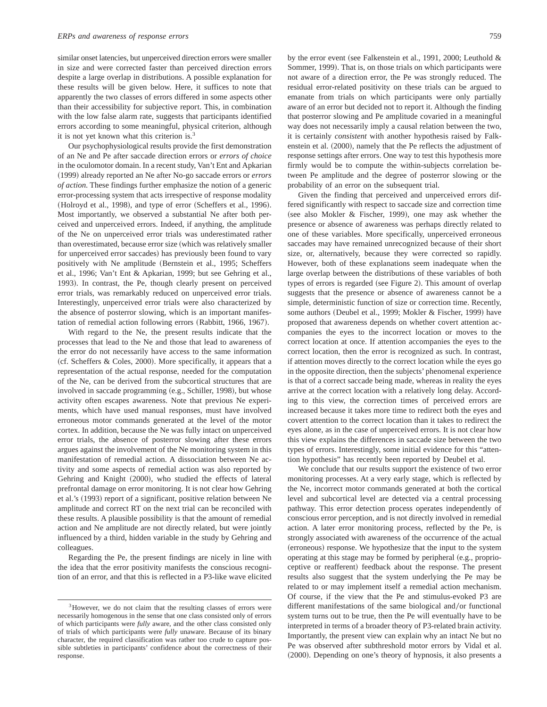similar onset latencies, but unperceived direction errors were smaller in size and were corrected faster than perceived direction errors despite a large overlap in distributions. A possible explanation for these results will be given below. Here, it suffices to note that apparently the two classes of errors differed in some aspects other than their accessibility for subjective report. This, in combination with the low false alarm rate, suggests that participants identified errors according to some meaningful, physical criterion, although it is not yet known what this criterion is.<sup>3</sup>

Our psychophysiological results provide the first demonstration of an Ne and Pe after saccade direction errors or *errors of choice* in the oculomotor domain. In a recent study, Van't Ent and Apkarian ~1999! already reported an Ne after No-go saccade errors or *errors of action*. These findings further emphasize the notion of a generic error-processing system that acts irrespective of response modality (Holroyd et al., 1998), and type of error (Scheffers et al., 1996). Most importantly, we observed a substantial Ne after both perceived and unperceived errors. Indeed, if anything, the amplitude of the Ne on unperceived error trials was underestimated rather than overestimated, because error size (which was relatively smaller for unperceived error saccades) has previously been found to vary positively with Ne amplitude (Bernstein et al., 1995; Scheffers et al., 1996; Van't Ent & Apkarian, 1999; but see Gehring et al., 1993). In contrast, the Pe, though clearly present on perceived error trials, was remarkably reduced on unperceived error trials. Interestingly, unperceived error trials were also characterized by the absence of posterror slowing, which is an important manifestation of remedial action following errors (Rabbitt, 1966, 1967).

With regard to the Ne, the present results indicate that the processes that lead to the Ne and those that lead to awareness of the error do not necessarily have access to the same information (cf. Scheffers  $& Coles, 2000$ ). More specifically, it appears that a representation of the actual response, needed for the computation of the Ne, can be derived from the subcortical structures that are involved in saccade programming (e.g., Schiller, 1998), but whose activity often escapes awareness. Note that previous Ne experiments, which have used manual responses, must have involved erroneous motor commands generated at the level of the motor cortex. In addition, because the Ne was fully intact on unperceived error trials, the absence of posterror slowing after these errors argues against the involvement of the Ne monitoring system in this manifestation of remedial action. A dissociation between Ne activity and some aspects of remedial action was also reported by Gehring and Knight (2000), who studied the effects of lateral prefrontal damage on error monitoring. It is not clear how Gehring et al.'s (1993) report of a significant, positive relation between Ne amplitude and correct RT on the next trial can be reconciled with these results. A plausible possibility is that the amount of remedial action and Ne amplitude are not directly related, but were jointly influenced by a third, hidden variable in the study by Gehring and colleagues.

Regarding the Pe, the present findings are nicely in line with the idea that the error positivity manifests the conscious recognition of an error, and that this is reflected in a P3-like wave elicited by the error event (see Falkenstein et al., 1991, 2000; Leuthold & Sommer, 1999). That is, on those trials on which participants were not aware of a direction error, the Pe was strongly reduced. The residual error-related positivity on these trials can be argued to emanate from trials on which participants were only partially aware of an error but decided not to report it. Although the finding that posterror slowing and Pe amplitude covaried in a meaningful way does not necessarily imply a causal relation between the two, it is certainly *consistent* with another hypothesis raised by Falkenstein et al.  $(2000)$ , namely that the Pe reflects the adjustment of response settings after errors. One way to test this hypothesis more firmly would be to compute the within-subjects correlation between Pe amplitude and the degree of posterror slowing or the probability of an error on the subsequent trial.

Given the finding that perceived and unperceived errors differed significantly with respect to saccade size and correction time (see also Mokler  $&$  Fischer, 1999), one may ask whether the presence or absence of awareness was perhaps directly related to one of these variables. More specifically, unperceived erroneous saccades may have remained unrecognized because of their short size, or, alternatively, because they were corrected so rapidly. However, both of these explanations seem inadequate when the large overlap between the distributions of these variables of both types of errors is regarded (see Figure 2). This amount of overlap suggests that the presence or absence of awareness cannot be a simple, deterministic function of size or correction time. Recently, some authors (Deubel et al., 1999; Mokler & Fischer, 1999) have proposed that awareness depends on whether covert attention accompanies the eyes to the incorrect location or moves to the correct location at once. If attention accompanies the eyes to the correct location, then the error is recognized as such. In contrast, if attention moves directly to the correct location while the eyes go in the opposite direction, then the subjects' phenomenal experience is that of a correct saccade being made, whereas in reality the eyes arrive at the correct location with a relatively long delay. According to this view, the correction times of perceived errors are increased because it takes more time to redirect both the eyes and covert attention to the correct location than it takes to redirect the eyes alone, as in the case of unperceived errors. It is not clear how this view explains the differences in saccade size between the two types of errors. Interestingly, some initial evidence for this "attention hypothesis" has recently been reported by Deubel et al.

We conclude that our results support the existence of two error monitoring processes. At a very early stage, which is reflected by the Ne, incorrect motor commands generated at both the cortical level and subcortical level are detected via a central processing pathway. This error detection process operates independently of conscious error perception, and is not directly involved in remedial action. A later error monitoring process, reflected by the Pe, is strongly associated with awareness of the occurrence of the actual (erroneous) response. We hypothesize that the input to the system operating at this stage may be formed by peripheral  $(e.g.,$  proprioceptive or reafferent) feedback about the response. The present results also suggest that the system underlying the Pe may be related to or may implement itself a remedial action mechanism. Of course, if the view that the Pe and stimulus-evoked P3 are different manifestations of the same biological and/or functional system turns out to be true, then the Pe will eventually have to be interpreted in terms of a broader theory of P3-related brain activity. Importantly, the present view can explain why an intact Ne but no Pe was observed after subthreshold motor errors by Vidal et al.  $(2000)$ . Depending on one's theory of hypnosis, it also presents a

<sup>&</sup>lt;sup>3</sup>However, we do not claim that the resulting classes of errors were necessarily homogenous in the sense that one class consisted only of errors of which participants were *fully* aware, and the other class consisted only of trials of which participants were *fully* unaware. Because of its binary character, the required classification was rather too crude to capture possible subtleties in participants' confidence about the correctness of their response.